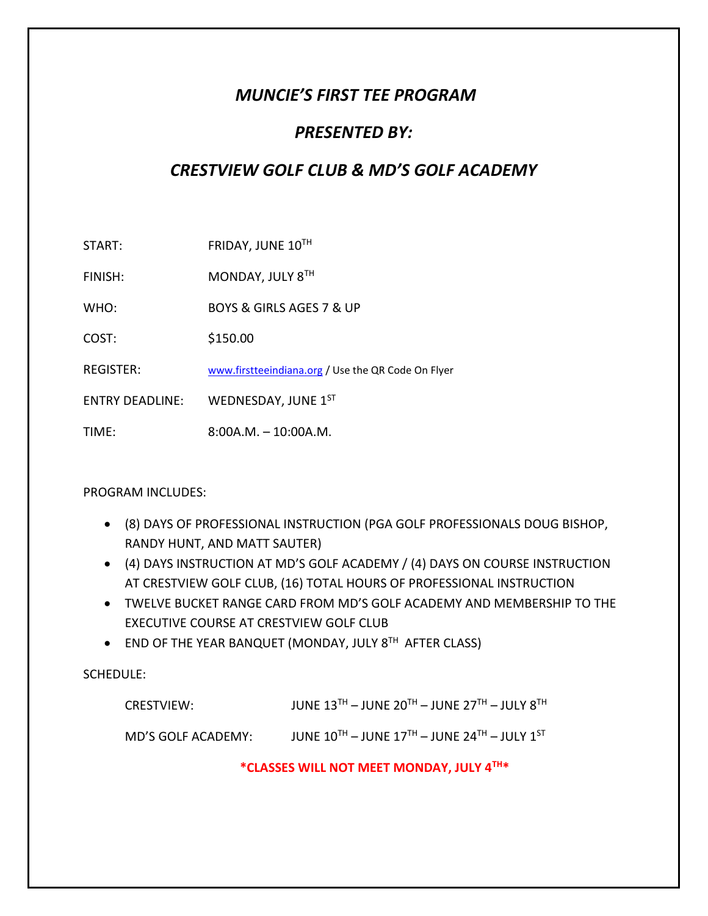# *MUNCIE'S FIRST TEE PROGRAM*

## *PRESENTED BY:*

# *CRESTVIEW GOLF CLUB & MD'S GOLF ACADEMY*

START: FRIDAY, JUNE 10<sup>TH</sup>

FINISH: MONDAY, JULY 8<sup>TH</sup>

WHO: BOYS & GIRLS AGES 7 & UP

COST: \$150.00

REGISTER: [www.firstteeindiana.org](http://www.firstteeindiana.org/) / Use the QR Code On Flyer

ENTRY DEADLINE: WEDNESDAY, JUNE 1ST

TIME: 8:00A.M. – 10:00A.M.

PROGRAM INCLUDES:

- (8) DAYS OF PROFESSIONAL INSTRUCTION (PGA GOLF PROFESSIONALS DOUG BISHOP, RANDY HUNT, AND MATT SAUTER)
- (4) DAYS INSTRUCTION AT MD'S GOLF ACADEMY / (4) DAYS ON COURSE INSTRUCTION AT CRESTVIEW GOLF CLUB, (16) TOTAL HOURS OF PROFESSIONAL INSTRUCTION
- TWELVE BUCKET RANGE CARD FROM MD'S GOLF ACADEMY AND MEMBERSHIP TO THE EXECUTIVE COURSE AT CRESTVIEW GOLF CLUB
- END OF THE YEAR BANQUET (MONDAY, JULY 8TH AFTER CLASS)

SCHEDULE:

CRESTVIEW: JUNE  $13^{TH}$  – JUNE  $20^{TH}$  – JUNE  $27^{TH}$  – JULY  $8^{TH}$ 

MD'S GOLF ACADEMY: JUNE 10TH – JUNE 17TH – JUNE 24TH – JULY 1ST

### **\*CLASSES WILL NOT MEET MONDAY, JULY 4TH\***